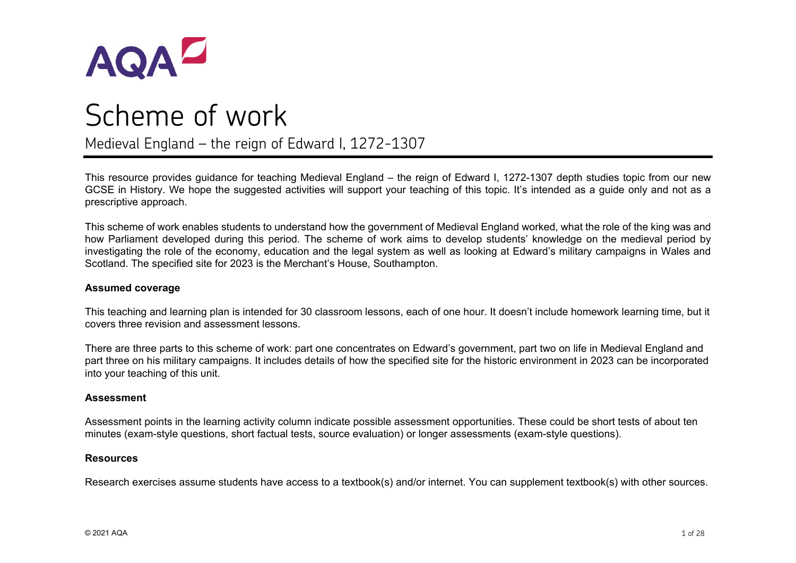

# Scheme of work Medieval England – the reign of Edward I, 1272-1307

This resource provides guidance for teaching Medieval England – the reign of Edward I, 1272-1307 depth studies topic from our new GCSE in History. We hope the suggested activities will support your teaching of this topic. It's intended as a guide only and not as a prescriptive approach.

This scheme of work enables students to understand how the government of Medieval England worked, what the role of the king was and how Parliament developed during this period. The scheme of work aims to develop students' knowledge on the medieval period by investigating the role of the economy, education and the legal system as well as looking at Edward's military campaigns in Wales and Scotland. The specified site for 2023 is the Merchant's House, Southampton.

#### **Assumed coverage**

This teaching and learning plan is intended for 30 classroom lessons, each of one hour. It doesn't include homework learning time, but it covers three revision and assessment lessons.

There are three parts to this scheme of work: part one concentrates on Edward's government, part two on life in Medieval England and part three on his military campaigns. It includes details of how the specified site for the historic environment in 2023 can be incorporated into your teaching of this unit.

#### **Assessment**

Assessment points in the learning activity column indicate possible assessment opportunities. These could be short tests of about ten minutes (exam-style questions, short factual tests, source evaluation) or longer assessments (exam-style questions).

#### **Resources**

Research exercises assume students have access to a textbook(s) and/or internet. You can supplement textbook(s) with other sources.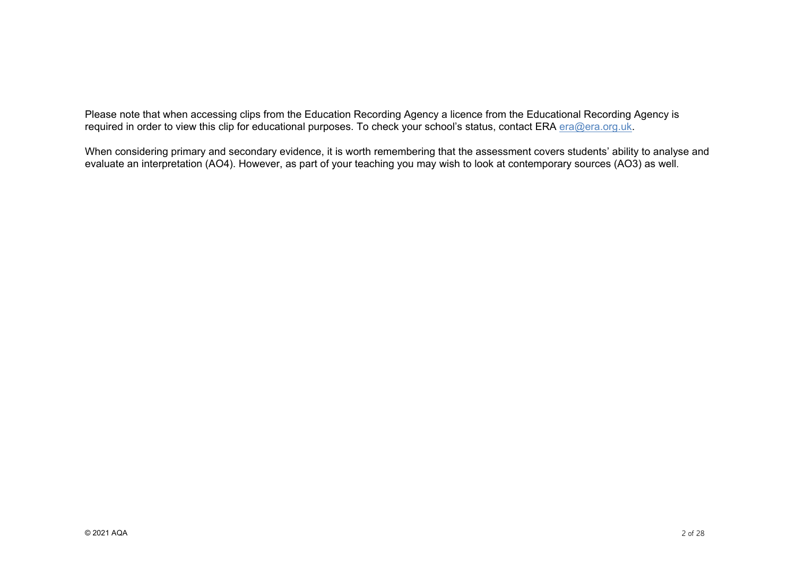Please note that when accessing clips from the Education Recording Agency a licence from the Educational Recording Agency is required in order to view this clip for educational purposes. To check your school's status, contact ERA [era@era.org.uk.](mailto:era@era.org.uk)

When considering primary and secondary evidence, it is worth remembering that the assessment covers students' ability to analyse and evaluate an interpretation (AO4). However, as part of your teaching you may wish to look at contemporary sources (AO3) as well.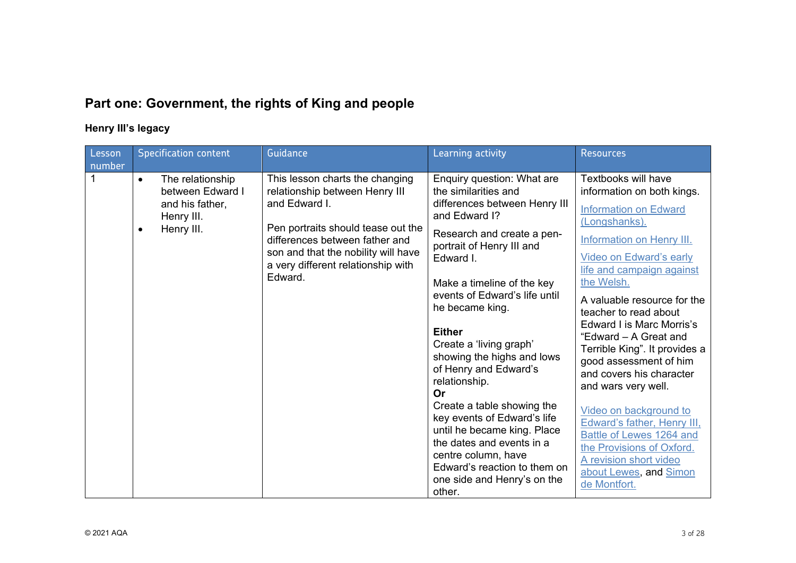# **Part one: Government, the rights of King and people**

# **Henry III's legacy**

| Lesson<br>number | <b>Specification content</b>                                                                                  | <b>Guidance</b>                                                                                                                                                                                                                                    | Learning activity                                                                                                                                                                                                                                                                                                                                                                                                                                                                                                                                                                                                 | <b>Resources</b>                                                                                                                                                                                                                                                                                                                                                                                                                                                                                                                                                                                                                      |
|------------------|---------------------------------------------------------------------------------------------------------------|----------------------------------------------------------------------------------------------------------------------------------------------------------------------------------------------------------------------------------------------------|-------------------------------------------------------------------------------------------------------------------------------------------------------------------------------------------------------------------------------------------------------------------------------------------------------------------------------------------------------------------------------------------------------------------------------------------------------------------------------------------------------------------------------------------------------------------------------------------------------------------|---------------------------------------------------------------------------------------------------------------------------------------------------------------------------------------------------------------------------------------------------------------------------------------------------------------------------------------------------------------------------------------------------------------------------------------------------------------------------------------------------------------------------------------------------------------------------------------------------------------------------------------|
|                  | The relationship<br>$\bullet$<br>between Edward I<br>and his father,<br>Henry III.<br>Henry III.<br>$\bullet$ | This lesson charts the changing<br>relationship between Henry III<br>and Edward I.<br>Pen portraits should tease out the<br>differences between father and<br>son and that the nobility will have<br>a very different relationship with<br>Edward. | Enquiry question: What are<br>the similarities and<br>differences between Henry III<br>and Edward I?<br>Research and create a pen-<br>portrait of Henry III and<br>Edward I.<br>Make a timeline of the key<br>events of Edward's life until<br>he became king.<br><b>Either</b><br>Create a 'living graph'<br>showing the highs and lows<br>of Henry and Edward's<br>relationship.<br>Or<br>Create a table showing the<br>key events of Edward's life<br>until he became king. Place<br>the dates and events in a<br>centre column, have<br>Edward's reaction to them on<br>one side and Henry's on the<br>other. | Textbooks will have<br>information on both kings.<br><b>Information on Edward</b><br>(Longshanks).<br><b>Information on Henry III.</b><br><b>Video on Edward's early</b><br>life and campaign against<br>the Welsh.<br>A valuable resource for the<br>teacher to read about<br>Edward I is Marc Morris's<br>"Edward - A Great and<br>Terrible King". It provides a<br>good assessment of him<br>and covers his character<br>and wars very well.<br>Video on background to<br>Edward's father, Henry III,<br>Battle of Lewes 1264 and<br>the Provisions of Oxford.<br>A revision short video<br>about Lewes, and Simon<br>de Montfort. |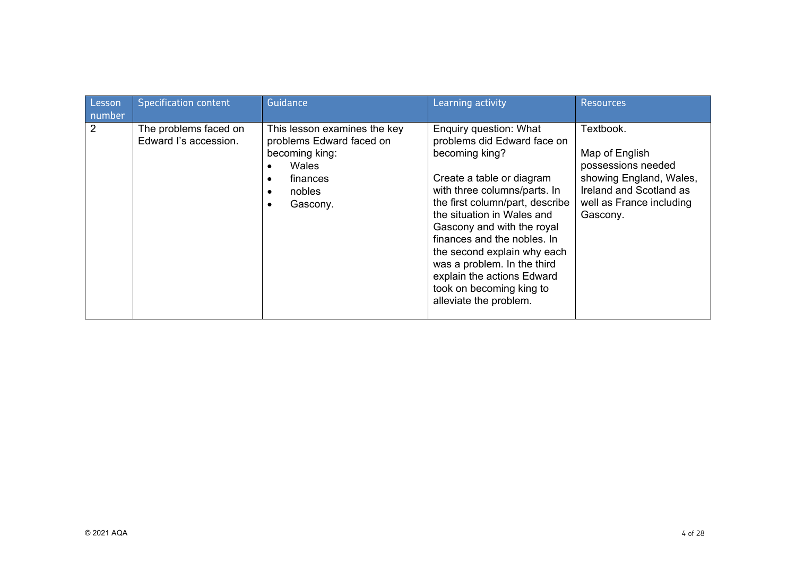| Lesson<br>number | <b>Specification content</b>                   | Guidance                                                                                                              | Learning activity                                                                                                                                                                                                                                                                                                                                                                                                    | <b>Resources</b>                                                                                                                                |
|------------------|------------------------------------------------|-----------------------------------------------------------------------------------------------------------------------|----------------------------------------------------------------------------------------------------------------------------------------------------------------------------------------------------------------------------------------------------------------------------------------------------------------------------------------------------------------------------------------------------------------------|-------------------------------------------------------------------------------------------------------------------------------------------------|
| 2                | The problems faced on<br>Edward I's accession. | This lesson examines the key<br>problems Edward faced on<br>becoming king:<br>Wales<br>finances<br>nobles<br>Gascony. | Enquiry question: What<br>problems did Edward face on<br>becoming king?<br>Create a table or diagram<br>with three columns/parts. In<br>the first column/part, describe<br>the situation in Wales and<br>Gascony and with the royal<br>finances and the nobles. In<br>the second explain why each<br>was a problem. In the third<br>explain the actions Edward<br>took on becoming king to<br>alleviate the problem. | Textbook.<br>Map of English<br>possessions needed<br>showing England, Wales,<br>Ireland and Scotland as<br>well as France including<br>Gascony. |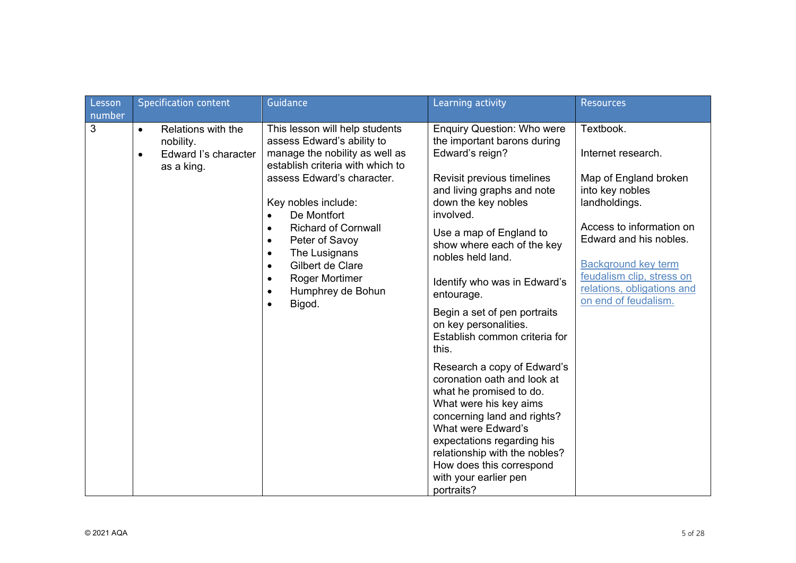| Lesson | <b>Specification content</b>                                                                    | Guidance                                                                                                                              | Learning activity                                                                                                                                                                                  | <b>Resources</b>                                                                 |
|--------|-------------------------------------------------------------------------------------------------|---------------------------------------------------------------------------------------------------------------------------------------|----------------------------------------------------------------------------------------------------------------------------------------------------------------------------------------------------|----------------------------------------------------------------------------------|
| number |                                                                                                 |                                                                                                                                       |                                                                                                                                                                                                    |                                                                                  |
| 3      | Relations with the<br>$\bullet$<br>nobility.<br>Edward I's character<br>$\bullet$<br>as a king. | This lesson will help students<br>assess Edward's ability to<br>manage the nobility as well as<br>establish criteria with which to    | <b>Enquiry Question: Who were</b><br>the important barons during<br>Edward's reign?                                                                                                                | Textbook.<br>Internet research.                                                  |
|        |                                                                                                 | assess Edward's character.<br>Key nobles include:<br>De Montfort<br>$\bullet$                                                         | Revisit previous timelines<br>and living graphs and note<br>down the key nobles<br>involved.                                                                                                       | Map of England broken<br>into key nobles<br>landholdings.                        |
|        |                                                                                                 | <b>Richard of Cornwall</b><br>$\bullet$<br>Peter of Savoy<br>$\bullet$<br>The Lusignans<br>$\bullet$<br>Gilbert de Clare<br>$\bullet$ | Use a map of England to<br>show where each of the key<br>nobles held land.                                                                                                                         | Access to information on<br>Edward and his nobles.<br><b>Background key term</b> |
|        |                                                                                                 | <b>Roger Mortimer</b><br>$\bullet$<br>Humphrey de Bohun<br>$\bullet$<br>Bigod.<br>$\bullet$                                           | Identify who was in Edward's<br>entourage.                                                                                                                                                         | feudalism clip, stress on<br>relations, obligations and<br>on end of feudalism.  |
|        |                                                                                                 |                                                                                                                                       | Begin a set of pen portraits<br>on key personalities.<br>Establish common criteria for<br>this.                                                                                                    |                                                                                  |
|        |                                                                                                 |                                                                                                                                       | Research a copy of Edward's<br>coronation oath and look at<br>what he promised to do.<br>What were his key aims<br>concerning land and rights?<br>What were Edward's<br>expectations regarding his |                                                                                  |
|        |                                                                                                 |                                                                                                                                       | relationship with the nobles?<br>How does this correspond<br>with your earlier pen<br>portraits?                                                                                                   |                                                                                  |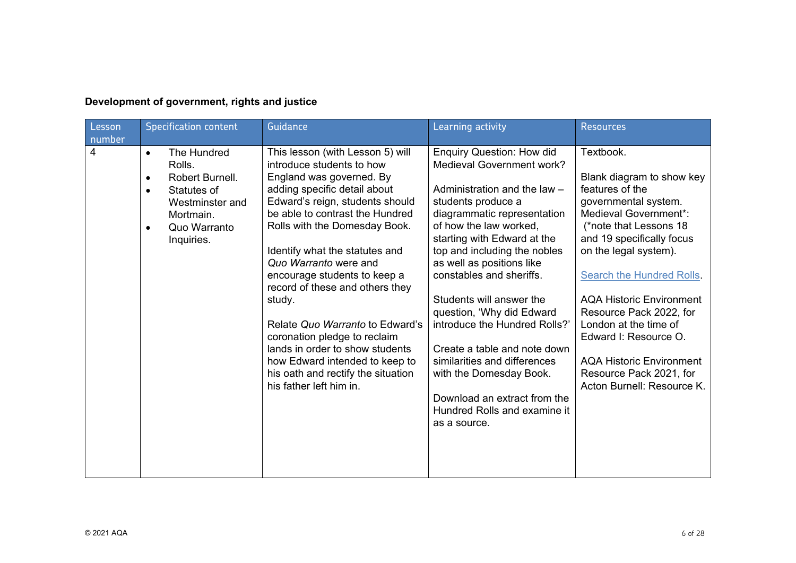# **Development of government, rights and justice**

| Lesson<br>number | <b>Specification content</b>                                                                                                                                              | Guidance                                                                                                                                                                                                                                                                                                                                                                                                                                                                                                                                                                          | Learning activity                                                                                                                                                                                                                                                                                                                                                                                                                                                                                                                                                         | <b>Resources</b>                                                                                                                                                                                                                                                                                                                                                                                                                          |
|------------------|---------------------------------------------------------------------------------------------------------------------------------------------------------------------------|-----------------------------------------------------------------------------------------------------------------------------------------------------------------------------------------------------------------------------------------------------------------------------------------------------------------------------------------------------------------------------------------------------------------------------------------------------------------------------------------------------------------------------------------------------------------------------------|---------------------------------------------------------------------------------------------------------------------------------------------------------------------------------------------------------------------------------------------------------------------------------------------------------------------------------------------------------------------------------------------------------------------------------------------------------------------------------------------------------------------------------------------------------------------------|-------------------------------------------------------------------------------------------------------------------------------------------------------------------------------------------------------------------------------------------------------------------------------------------------------------------------------------------------------------------------------------------------------------------------------------------|
| $\overline{4}$   | The Hundred<br>$\bullet$<br>Rolls.<br>Robert Burnell.<br>$\bullet$<br>Statutes of<br>$\bullet$<br>Westminster and<br>Mortmain.<br>Quo Warranto<br>$\bullet$<br>Inquiries. | This lesson (with Lesson 5) will<br>introduce students to how<br>England was governed. By<br>adding specific detail about<br>Edward's reign, students should<br>be able to contrast the Hundred<br>Rolls with the Domesday Book.<br>Identify what the statutes and<br>Quo Warranto were and<br>encourage students to keep a<br>record of these and others they<br>study.<br>Relate Quo Warranto to Edward's<br>coronation pledge to reclaim<br>lands in order to show students<br>how Edward intended to keep to<br>his oath and rectify the situation<br>his father left him in. | <b>Enquiry Question: How did</b><br>Medieval Government work?<br>Administration and the law -<br>students produce a<br>diagrammatic representation<br>of how the law worked,<br>starting with Edward at the<br>top and including the nobles<br>as well as positions like<br>constables and sheriffs.<br>Students will answer the<br>question, 'Why did Edward<br>introduce the Hundred Rolls?'<br>Create a table and note down<br>similarities and differences<br>with the Domesday Book.<br>Download an extract from the<br>Hundred Rolls and examine it<br>as a source. | Textbook.<br>Blank diagram to show key<br>features of the<br>governmental system.<br>Medieval Government*:<br>(*note that Lessons 18<br>and 19 specifically focus<br>on the legal system).<br><b>Search the Hundred Rolls</b><br><b>AQA Historic Environment</b><br>Resource Pack 2022, for<br>London at the time of<br>Edward I: Resource O.<br><b>AQA Historic Environment</b><br>Resource Pack 2021, for<br>Acton Burnell: Resource K. |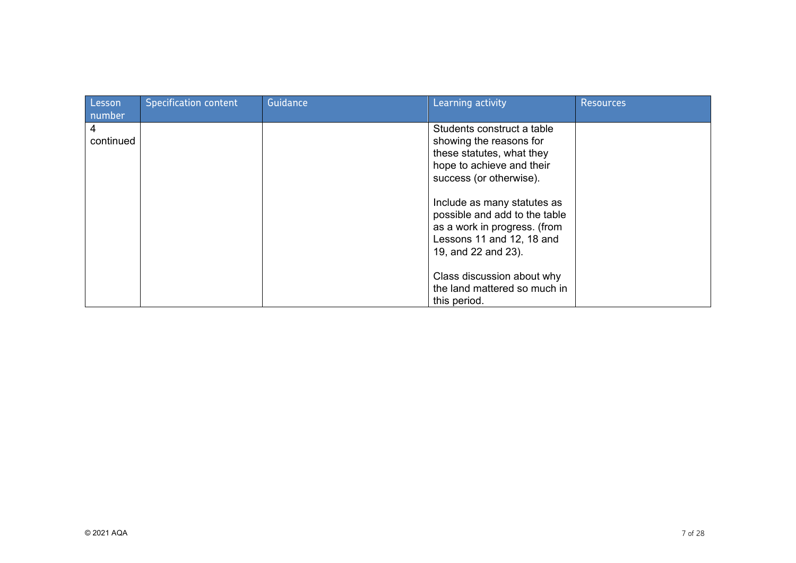| Lesson                   | <b>Specification content</b> | Guidance | Learning activity                                                                                                                                                                                                                                                                              | <b>Resources</b> |
|--------------------------|------------------------------|----------|------------------------------------------------------------------------------------------------------------------------------------------------------------------------------------------------------------------------------------------------------------------------------------------------|------------------|
| number<br>4<br>continued |                              |          | Students construct a table<br>showing the reasons for<br>these statutes, what they<br>hope to achieve and their<br>success (or otherwise).<br>Include as many statutes as<br>possible and add to the table<br>as a work in progress. (from<br>Lessons 11 and 12, 18 and<br>19, and 22 and 23). |                  |
|                          |                              |          | Class discussion about why<br>the land mattered so much in<br>this period.                                                                                                                                                                                                                     |                  |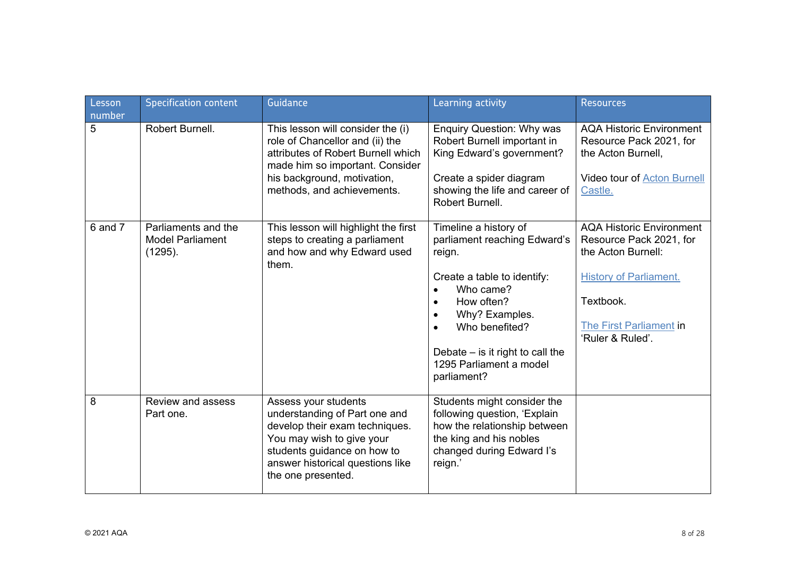| Lesson<br>number | <b>Specification content</b>                              | Guidance                                                                                                                                                                                                      | Learning activity                                                                                                                                                                                                                                                       | <b>Resources</b>                                                                                                                                                              |
|------------------|-----------------------------------------------------------|---------------------------------------------------------------------------------------------------------------------------------------------------------------------------------------------------------------|-------------------------------------------------------------------------------------------------------------------------------------------------------------------------------------------------------------------------------------------------------------------------|-------------------------------------------------------------------------------------------------------------------------------------------------------------------------------|
| 5                | Robert Burnell.                                           | This lesson will consider the (i)<br>role of Chancellor and (ii) the<br>attributes of Robert Burnell which<br>made him so important. Consider<br>his background, motivation,<br>methods, and achievements.    | <b>Enquiry Question: Why was</b><br>Robert Burnell important in<br>King Edward's government?<br>Create a spider diagram<br>showing the life and career of<br>Robert Burnell.                                                                                            | <b>AQA Historic Environment</b><br>Resource Pack 2021, for<br>the Acton Burnell,<br><b>Video tour of Acton Burnell</b><br>Castle.                                             |
| $6$ and $7$      | Parliaments and the<br><b>Model Parliament</b><br>(1295). | This lesson will highlight the first<br>steps to creating a parliament<br>and how and why Edward used<br>them.                                                                                                | Timeline a history of<br>parliament reaching Edward's<br>reign.<br>Create a table to identify:<br>Who came?<br>$\bullet$<br>How often?<br>Why? Examples.<br>$\bullet$<br>Who benefited?<br>Debate $-$ is it right to call the<br>1295 Parliament a model<br>parliament? | <b>AQA Historic Environment</b><br>Resource Pack 2021, for<br>the Acton Burnell:<br><b>History of Parliament.</b><br>Textbook.<br>The First Parliament in<br>'Ruler & Ruled'. |
| 8                | Review and assess<br>Part one.                            | Assess your students<br>understanding of Part one and<br>develop their exam techniques.<br>You may wish to give your<br>students guidance on how to<br>answer historical questions like<br>the one presented. | Students might consider the<br>following question, 'Explain<br>how the relationship between<br>the king and his nobles<br>changed during Edward I's<br>reign.'                                                                                                          |                                                                                                                                                                               |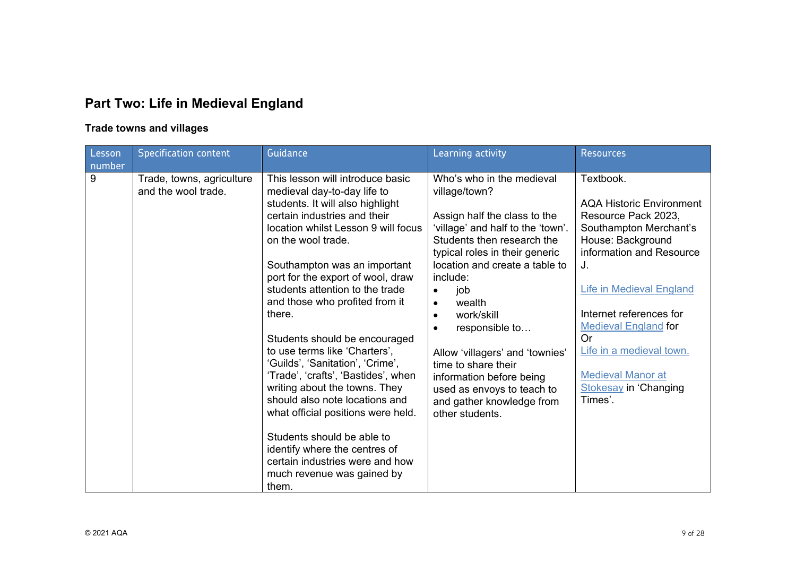# **Part Two: Life in Medieval England**

# **Trade towns and villages**

| Lesson<br>number | <b>Specification content</b>                     | Guidance                                                                                                                                                                                                                                                                                                                                                                                                                                                                                                                                                                                                                                                                                                                                            | Learning activity                                                                                                                                                                                                                                                                                                                                                                                                                                                                         | <b>Resources</b>                                                                                                                                                                                                                                                                                                                                                  |
|------------------|--------------------------------------------------|-----------------------------------------------------------------------------------------------------------------------------------------------------------------------------------------------------------------------------------------------------------------------------------------------------------------------------------------------------------------------------------------------------------------------------------------------------------------------------------------------------------------------------------------------------------------------------------------------------------------------------------------------------------------------------------------------------------------------------------------------------|-------------------------------------------------------------------------------------------------------------------------------------------------------------------------------------------------------------------------------------------------------------------------------------------------------------------------------------------------------------------------------------------------------------------------------------------------------------------------------------------|-------------------------------------------------------------------------------------------------------------------------------------------------------------------------------------------------------------------------------------------------------------------------------------------------------------------------------------------------------------------|
| 9                | Trade, towns, agriculture<br>and the wool trade. | This lesson will introduce basic<br>medieval day-to-day life to<br>students. It will also highlight<br>certain industries and their<br>location whilst Lesson 9 will focus<br>on the wool trade.<br>Southampton was an important<br>port for the export of wool, draw<br>students attention to the trade<br>and those who profited from it<br>there.<br>Students should be encouraged<br>to use terms like 'Charters',<br>'Guilds', 'Sanitation', 'Crime',<br>'Trade', 'crafts', 'Bastides', when<br>writing about the towns. They<br>should also note locations and<br>what official positions were held.<br>Students should be able to<br>identify where the centres of<br>certain industries were and how<br>much revenue was gained by<br>them. | Who's who in the medieval<br>village/town?<br>Assign half the class to the<br>'village' and half to the 'town'.<br>Students then research the<br>typical roles in their generic<br>location and create a table to<br>include:<br>job<br>$\bullet$<br>wealth<br>work/skill<br>$\bullet$<br>responsible to<br>$\bullet$<br>Allow 'villagers' and 'townies'<br>time to share their<br>information before being<br>used as envoys to teach to<br>and gather knowledge from<br>other students. | Textbook.<br><b>AQA Historic Environment</b><br>Resource Pack 2023,<br>Southampton Merchant's<br>House: Background<br>information and Resource<br>J.<br><b>Life in Medieval England</b><br>Internet references for<br><b>Medieval England for</b><br><b>Or</b><br>Life in a medieval town.<br><b>Medieval Manor at</b><br><b>Stokesay in 'Changing</b><br>Times'. |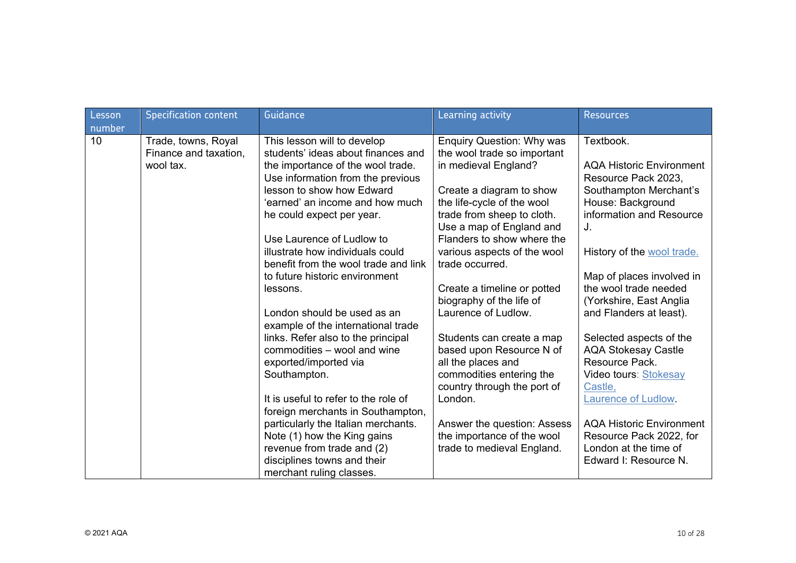| Lesson<br>number | <b>Specification content</b>                              | Guidance                                                                                               | Learning activity                                                                       | <b>Resources</b>                                                          |
|------------------|-----------------------------------------------------------|--------------------------------------------------------------------------------------------------------|-----------------------------------------------------------------------------------------|---------------------------------------------------------------------------|
| 10               | Trade, towns, Royal<br>Finance and taxation,<br>wool tax. | This lesson will to develop<br>students' ideas about finances and<br>the importance of the wool trade. | <b>Enquiry Question: Why was</b><br>the wool trade so important<br>in medieval England? | Textbook.<br><b>AQA Historic Environment</b>                              |
|                  |                                                           | Use information from the previous                                                                      |                                                                                         | Resource Pack 2023,                                                       |
|                  |                                                           | lesson to show how Edward<br>'earned' an income and how much                                           | Create a diagram to show<br>the life-cycle of the wool                                  | Southampton Merchant's<br>House: Background                               |
|                  |                                                           | he could expect per year.                                                                              | trade from sheep to cloth.<br>Use a map of England and                                  | information and Resource<br>J.                                            |
|                  |                                                           | Use Laurence of Ludlow to<br>illustrate how individuals could                                          | Flanders to show where the<br>various aspects of the wool                               | History of the wool trade.                                                |
|                  |                                                           | benefit from the wool trade and link                                                                   | trade occurred.                                                                         |                                                                           |
|                  |                                                           | to future historic environment                                                                         |                                                                                         | Map of places involved in                                                 |
|                  |                                                           | lessons.                                                                                               | Create a timeline or potted<br>biography of the life of                                 | the wool trade needed<br>(Yorkshire, East Anglia                          |
|                  |                                                           | London should be used as an<br>example of the international trade                                      | Laurence of Ludlow.                                                                     | and Flanders at least).                                                   |
|                  |                                                           | links. Refer also to the principal                                                                     | Students can create a map                                                               | Selected aspects of the                                                   |
|                  |                                                           | commodities – wool and wine<br>exported/imported via                                                   | based upon Resource N of<br>all the places and                                          | <b>AQA Stokesay Castle</b><br>Resource Pack.                              |
|                  |                                                           | Southampton.                                                                                           | commodities entering the<br>country through the port of                                 | Video tours: Stokesay<br>Castle,                                          |
|                  |                                                           | It is useful to refer to the role of<br>foreign merchants in Southampton,                              | London.                                                                                 | <b>Laurence of Ludlow</b>                                                 |
|                  |                                                           | particularly the Italian merchants.                                                                    | Answer the question: Assess                                                             | <b>AQA Historic Environment</b>                                           |
|                  |                                                           | Note (1) how the King gains<br>revenue from trade and (2)<br>disciplines towns and their               | the importance of the wool<br>trade to medieval England.                                | Resource Pack 2022, for<br>London at the time of<br>Edward I: Resource N. |
|                  |                                                           | merchant ruling classes.                                                                               |                                                                                         |                                                                           |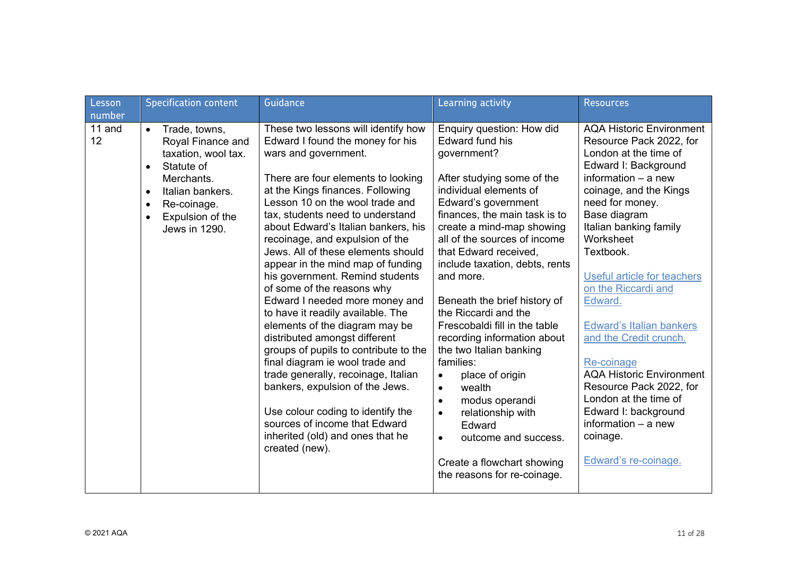| Lesson<br>number | <b>Specification content</b>                                                                                                                                                                                                   | Guidance                                                                                                                                                                                                                                                                                                                                                                                                                                                                                                                                                                                                                                                                                                                                                                                                                                                                                           | Learning activity                                                                                                                                                                                                                                                                                                                                                                                                                                                                                                                                                                                                                                                                                                           | <b>Resources</b>                                                                                                                                                                                                                                                                                                                                                                                                                                                                                                                                                       |
|------------------|--------------------------------------------------------------------------------------------------------------------------------------------------------------------------------------------------------------------------------|----------------------------------------------------------------------------------------------------------------------------------------------------------------------------------------------------------------------------------------------------------------------------------------------------------------------------------------------------------------------------------------------------------------------------------------------------------------------------------------------------------------------------------------------------------------------------------------------------------------------------------------------------------------------------------------------------------------------------------------------------------------------------------------------------------------------------------------------------------------------------------------------------|-----------------------------------------------------------------------------------------------------------------------------------------------------------------------------------------------------------------------------------------------------------------------------------------------------------------------------------------------------------------------------------------------------------------------------------------------------------------------------------------------------------------------------------------------------------------------------------------------------------------------------------------------------------------------------------------------------------------------------|------------------------------------------------------------------------------------------------------------------------------------------------------------------------------------------------------------------------------------------------------------------------------------------------------------------------------------------------------------------------------------------------------------------------------------------------------------------------------------------------------------------------------------------------------------------------|
| 11 and<br>12     | Trade, towns,<br>$\bullet$<br>Royal Finance and<br>taxation, wool tax.<br>Statute of<br>$\bullet$<br>Merchants.<br>Italian bankers.<br>$\bullet$<br>Re-coinage.<br>$\bullet$<br>Expulsion of the<br>$\bullet$<br>Jews in 1290. | These two lessons will identify how<br>Edward I found the money for his<br>wars and government.<br>There are four elements to looking<br>at the Kings finances. Following<br>Lesson 10 on the wool trade and<br>tax, students need to understand<br>about Edward's Italian bankers, his<br>recoinage, and expulsion of the<br>Jews. All of these elements should<br>appear in the mind map of funding<br>his government. Remind students<br>of some of the reasons why<br>Edward I needed more money and<br>to have it readily available. The<br>elements of the diagram may be<br>distributed amongst different<br>groups of pupils to contribute to the<br>final diagram ie wool trade and<br>trade generally, recoinage, Italian<br>bankers, expulsion of the Jews.<br>Use colour coding to identify the<br>sources of income that Edward<br>inherited (old) and ones that he<br>created (new). | Enquiry question: How did<br><b>Edward fund his</b><br>government?<br>After studying some of the<br>individual elements of<br>Edward's government<br>finances, the main task is to<br>create a mind-map showing<br>all of the sources of income<br>that Edward received,<br>include taxation, debts, rents<br>and more.<br>Beneath the brief history of<br>the Riccardi and the<br>Frescobaldi fill in the table<br>recording information about<br>the two Italian banking<br>families:<br>place of origin<br>$\bullet$<br>wealth<br>$\bullet$<br>modus operandi<br>$\bullet$<br>relationship with<br>$\bullet$<br>Edward<br>outcome and success.<br>$\bullet$<br>Create a flowchart showing<br>the reasons for re-coinage. | <b>AQA Historic Environment</b><br>Resource Pack 2022, for<br>London at the time of<br>Edward I: Background<br>information $-$ a new<br>coinage, and the Kings<br>need for money.<br>Base diagram<br>Italian banking family<br>Worksheet<br>Textbook.<br>Useful article for teachers<br>on the Riccardi and<br>Edward.<br>Edward's Italian bankers<br>and the Credit crunch.<br>Re-coinage<br><b>AQA Historic Environment</b><br>Resource Pack 2022, for<br>London at the time of<br>Edward I: background<br>information $-$ a new<br>coinage.<br>Edward's re-coinage. |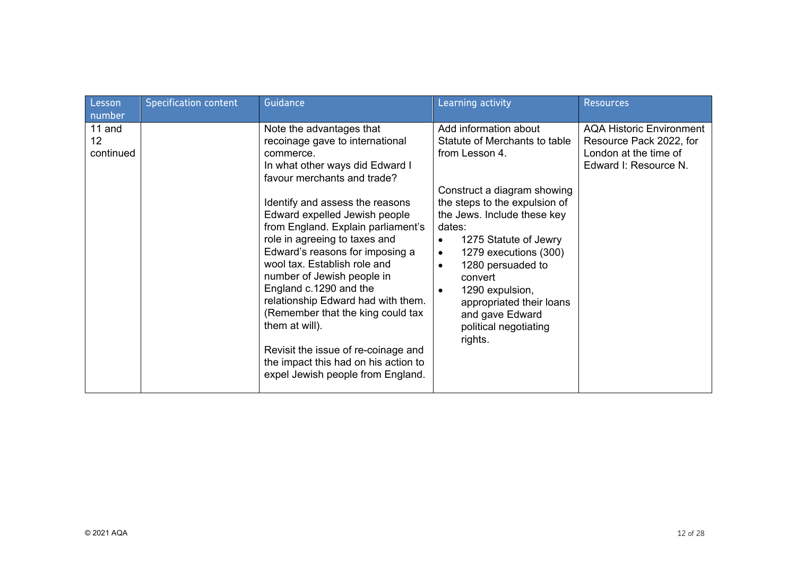| Lesson                    | <b>Specification content</b> | Guidance                                                                                                                                                                                                                                                                                                                                                                                                                                                                                                                                                                                                                          | Learning activity                                                                                                                                                                                                                                                                                                                                                                                                             | <b>Resources</b>                                                                                      |
|---------------------------|------------------------------|-----------------------------------------------------------------------------------------------------------------------------------------------------------------------------------------------------------------------------------------------------------------------------------------------------------------------------------------------------------------------------------------------------------------------------------------------------------------------------------------------------------------------------------------------------------------------------------------------------------------------------------|-------------------------------------------------------------------------------------------------------------------------------------------------------------------------------------------------------------------------------------------------------------------------------------------------------------------------------------------------------------------------------------------------------------------------------|-------------------------------------------------------------------------------------------------------|
| number                    |                              |                                                                                                                                                                                                                                                                                                                                                                                                                                                                                                                                                                                                                                   |                                                                                                                                                                                                                                                                                                                                                                                                                               |                                                                                                       |
| 11 and<br>12<br>continued |                              | Note the advantages that<br>recoinage gave to international<br>commerce.<br>In what other ways did Edward I<br>favour merchants and trade?<br>Identify and assess the reasons<br>Edward expelled Jewish people<br>from England. Explain parliament's<br>role in agreeing to taxes and<br>Edward's reasons for imposing a<br>wool tax. Establish role and<br>number of Jewish people in<br>England c.1290 and the<br>relationship Edward had with them.<br>(Remember that the king could tax<br>them at will).<br>Revisit the issue of re-coinage and<br>the impact this had on his action to<br>expel Jewish people from England. | Add information about<br>Statute of Merchants to table<br>from Lesson 4.<br>Construct a diagram showing<br>the steps to the expulsion of<br>the Jews. Include these key<br>dates:<br>1275 Statute of Jewry<br>$\bullet$<br>1279 executions (300)<br>$\bullet$<br>1280 persuaded to<br>$\bullet$<br>convert<br>1290 expulsion,<br>$\bullet$<br>appropriated their loans<br>and gave Edward<br>political negotiating<br>rights. | AQA Historic Environment<br>Resource Pack 2022, for<br>London at the time of<br>Edward I: Resource N. |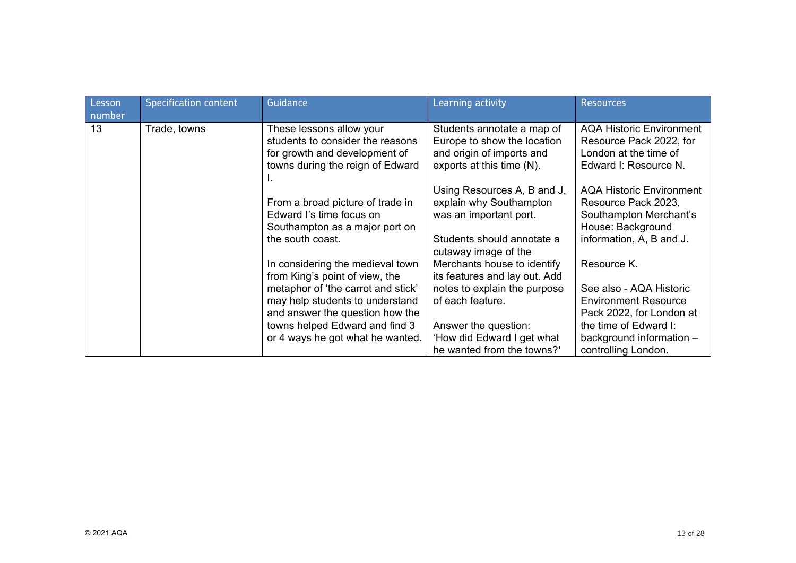| Lesson<br>number | <b>Specification content</b> | Guidance                                                                                                                          | Learning activity                                                                                                                      | <b>Resources</b>                                                                                                                  |
|------------------|------------------------------|-----------------------------------------------------------------------------------------------------------------------------------|----------------------------------------------------------------------------------------------------------------------------------------|-----------------------------------------------------------------------------------------------------------------------------------|
| 13               | Trade, towns                 | These lessons allow your<br>students to consider the reasons<br>for growth and development of<br>towns during the reign of Edward | Students annotate a map of<br>Europe to show the location<br>and origin of imports and<br>exports at this time (N).                    | <b>AQA Historic Environment</b><br>Resource Pack 2022, for<br>London at the time of<br>Edward I: Resource N.                      |
|                  |                              | From a broad picture of trade in<br>Edward I's time focus on<br>Southampton as a major port on<br>the south coast.                | Using Resources A, B and J,<br>explain why Southampton<br>was an important port.<br>Students should annotate a<br>cutaway image of the | <b>AQA Historic Environment</b><br>Resource Pack 2023,<br>Southampton Merchant's<br>House: Background<br>information, A, B and J. |
|                  |                              | In considering the medieval town<br>from King's point of view, the                                                                | Merchants house to identify<br>its features and lay out. Add                                                                           | Resource K.                                                                                                                       |
|                  |                              | metaphor of 'the carrot and stick'<br>may help students to understand<br>and answer the question how the                          | notes to explain the purpose<br>of each feature.                                                                                       | See also - AQA Historic<br><b>Environment Resource</b><br>Pack 2022, for London at                                                |
|                  |                              | towns helped Edward and find 3<br>or 4 ways he got what he wanted.                                                                | Answer the question:<br>'How did Edward I get what<br>he wanted from the towns?'                                                       | the time of Edward I:<br>background information -<br>controlling London.                                                          |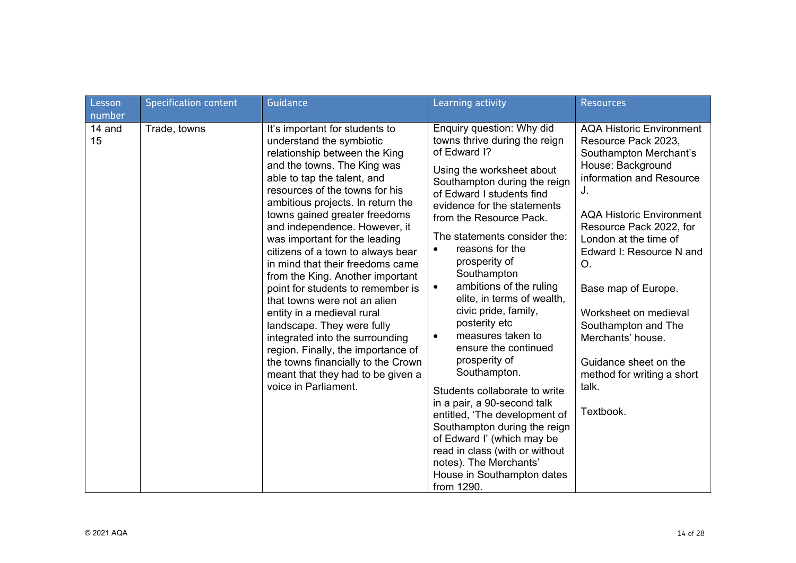| Lesson<br>number | <b>Specification content</b> | Guidance                                                                                                                                                                                                                                                                                                                                                                                                                                                                                                                                                                                                                                                                                                                                                      | Learning activity                                                                                                                                                                                                                                                                                                                                                                                                                                                                                                                                                                                                                                                                                                                                                                                               | <b>Resources</b>                                                                                                                                                                                                                                                                                                                                                                                                                          |
|------------------|------------------------------|---------------------------------------------------------------------------------------------------------------------------------------------------------------------------------------------------------------------------------------------------------------------------------------------------------------------------------------------------------------------------------------------------------------------------------------------------------------------------------------------------------------------------------------------------------------------------------------------------------------------------------------------------------------------------------------------------------------------------------------------------------------|-----------------------------------------------------------------------------------------------------------------------------------------------------------------------------------------------------------------------------------------------------------------------------------------------------------------------------------------------------------------------------------------------------------------------------------------------------------------------------------------------------------------------------------------------------------------------------------------------------------------------------------------------------------------------------------------------------------------------------------------------------------------------------------------------------------------|-------------------------------------------------------------------------------------------------------------------------------------------------------------------------------------------------------------------------------------------------------------------------------------------------------------------------------------------------------------------------------------------------------------------------------------------|
| 14 and<br>15     | Trade, towns                 | It's important for students to<br>understand the symbiotic<br>relationship between the King<br>and the towns. The King was<br>able to tap the talent, and<br>resources of the towns for his<br>ambitious projects. In return the<br>towns gained greater freedoms<br>and independence. However, it<br>was important for the leading<br>citizens of a town to always bear<br>in mind that their freedoms came<br>from the King. Another important<br>point for students to remember is<br>that towns were not an alien<br>entity in a medieval rural<br>landscape. They were fully<br>integrated into the surrounding<br>region. Finally, the importance of<br>the towns financially to the Crown<br>meant that they had to be given a<br>voice in Parliament. | Enquiry question: Why did<br>towns thrive during the reign<br>of Edward I?<br>Using the worksheet about<br>Southampton during the reign<br>of Edward I students find<br>evidence for the statements<br>from the Resource Pack.<br>The statements consider the:<br>reasons for the<br>$\bullet$<br>prosperity of<br>Southampton<br>ambitions of the ruling<br>$\bullet$<br>elite, in terms of wealth,<br>civic pride, family,<br>posterity etc<br>measures taken to<br>$\bullet$<br>ensure the continued<br>prosperity of<br>Southampton.<br>Students collaborate to write<br>in a pair, a 90-second talk<br>entitled, 'The development of<br>Southampton during the reign<br>of Edward I' (which may be<br>read in class (with or without<br>notes). The Merchants'<br>House in Southampton dates<br>from 1290. | <b>AQA Historic Environment</b><br>Resource Pack 2023,<br>Southampton Merchant's<br>House: Background<br>information and Resource<br>J.<br><b>AQA Historic Environment</b><br>Resource Pack 2022, for<br>London at the time of<br>Edward I: Resource N and<br>O.<br>Base map of Europe.<br>Worksheet on medieval<br>Southampton and The<br>Merchants' house.<br>Guidance sheet on the<br>method for writing a short<br>talk.<br>Textbook. |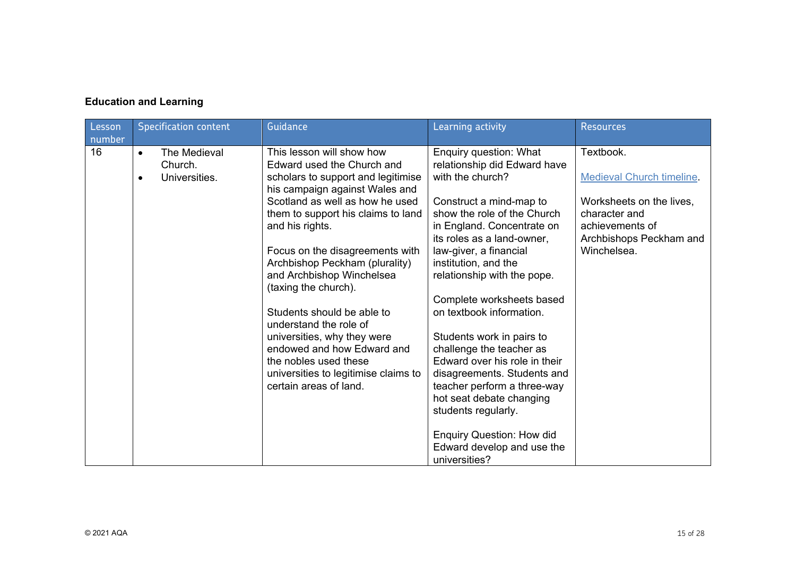## **Education and Learning**

| Lesson<br>number | <b>Specification content</b>                          | Guidance                                                                                                                                                                                                                                                                                                                                                                                                                                                                                                                                                              | Learning activity                                                                                                                                                                                                                                                                                                                                                                                                                                                                                                                                                                                                                        | <b>Resources</b>                                                                                                                                        |
|------------------|-------------------------------------------------------|-----------------------------------------------------------------------------------------------------------------------------------------------------------------------------------------------------------------------------------------------------------------------------------------------------------------------------------------------------------------------------------------------------------------------------------------------------------------------------------------------------------------------------------------------------------------------|------------------------------------------------------------------------------------------------------------------------------------------------------------------------------------------------------------------------------------------------------------------------------------------------------------------------------------------------------------------------------------------------------------------------------------------------------------------------------------------------------------------------------------------------------------------------------------------------------------------------------------------|---------------------------------------------------------------------------------------------------------------------------------------------------------|
| 16               | The Medieval<br>$\bullet$<br>Church.<br>Universities. | This lesson will show how<br>Edward used the Church and<br>scholars to support and legitimise<br>his campaign against Wales and<br>Scotland as well as how he used<br>them to support his claims to land<br>and his rights.<br>Focus on the disagreements with<br>Archbishop Peckham (plurality)<br>and Archbishop Winchelsea<br>(taxing the church).<br>Students should be able to<br>understand the role of<br>universities, why they were<br>endowed and how Edward and<br>the nobles used these<br>universities to legitimise claims to<br>certain areas of land. | Enquiry question: What<br>relationship did Edward have<br>with the church?<br>Construct a mind-map to<br>show the role of the Church<br>in England. Concentrate on<br>its roles as a land-owner,<br>law-giver, a financial<br>institution, and the<br>relationship with the pope.<br>Complete worksheets based<br>on textbook information.<br>Students work in pairs to<br>challenge the teacher as<br>Edward over his role in their<br>disagreements. Students and<br>teacher perform a three-way<br>hot seat debate changing<br>students regularly.<br><b>Enquiry Question: How did</b><br>Edward develop and use the<br>universities? | Textbook.<br><b>Medieval Church timeline.</b><br>Worksheets on the lives,<br>character and<br>achievements of<br>Archbishops Peckham and<br>Winchelsea. |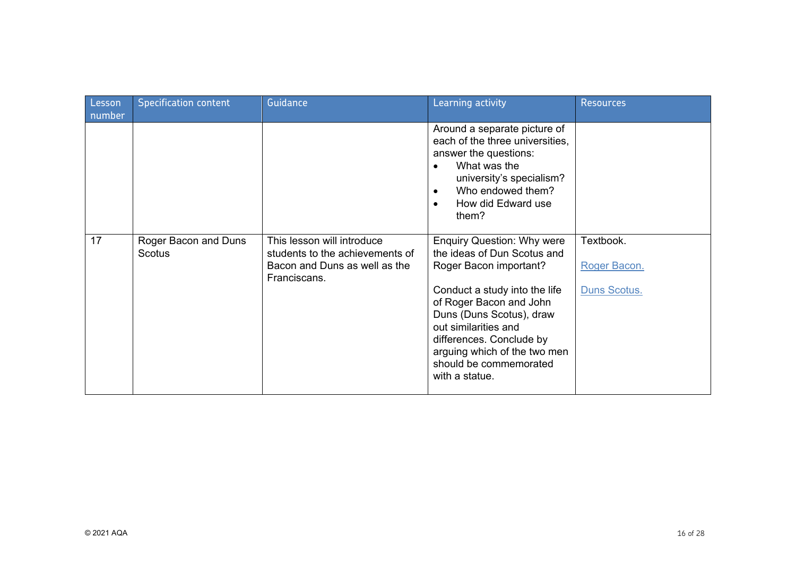| Lesson<br>number | <b>Specification content</b>   | Guidance                                                                                                       | Learning activity                                                                                                                                                                                                                                                                                                  | <b>Resources</b>                          |
|------------------|--------------------------------|----------------------------------------------------------------------------------------------------------------|--------------------------------------------------------------------------------------------------------------------------------------------------------------------------------------------------------------------------------------------------------------------------------------------------------------------|-------------------------------------------|
|                  |                                |                                                                                                                | Around a separate picture of<br>each of the three universities,<br>answer the questions:<br>What was the<br>$\bullet$<br>university's specialism?<br>Who endowed them?<br>$\bullet$<br>How did Edward use<br>$\bullet$<br>them?                                                                                    |                                           |
| 17               | Roger Bacon and Duns<br>Scotus | This lesson will introduce<br>students to the achievements of<br>Bacon and Duns as well as the<br>Franciscans. | <b>Enquiry Question: Why were</b><br>the ideas of Dun Scotus and<br>Roger Bacon important?<br>Conduct a study into the life<br>of Roger Bacon and John<br>Duns (Duns Scotus), draw<br>out similarities and<br>differences. Conclude by<br>arguing which of the two men<br>should be commemorated<br>with a statue. | Textbook.<br>Roger Bacon.<br>Duns Scotus. |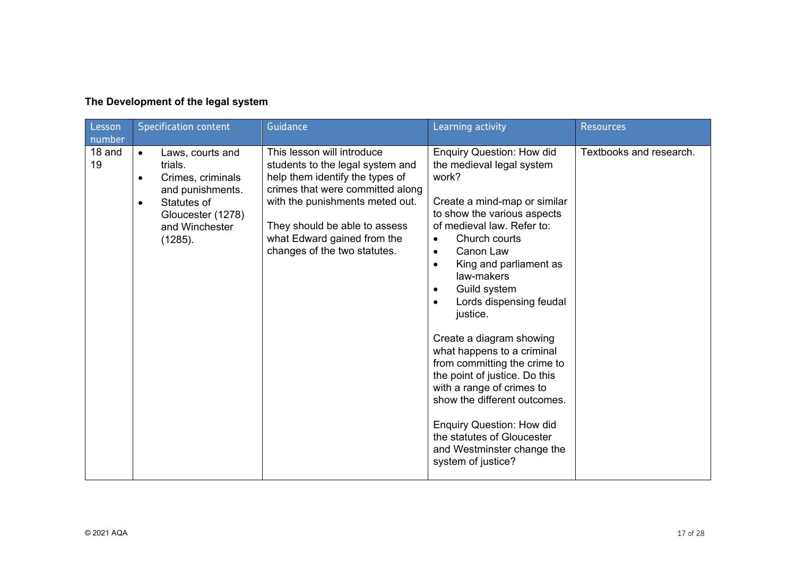| Lesson<br>number | <b>Specification content</b>                                                                                                                                                 | <b>Guidance</b>                                                                                                                                                                                                                                                          | Learning activity                                                                                                                                                                                                                                                                                                                                                                                                                                                                                                                                                                                                                                                               | <b>Resources</b>        |
|------------------|------------------------------------------------------------------------------------------------------------------------------------------------------------------------------|--------------------------------------------------------------------------------------------------------------------------------------------------------------------------------------------------------------------------------------------------------------------------|---------------------------------------------------------------------------------------------------------------------------------------------------------------------------------------------------------------------------------------------------------------------------------------------------------------------------------------------------------------------------------------------------------------------------------------------------------------------------------------------------------------------------------------------------------------------------------------------------------------------------------------------------------------------------------|-------------------------|
| 18 and<br>19     | Laws, courts and<br>$\bullet$<br>trials.<br>Crimes, criminals<br>$\bullet$<br>and punishments.<br>Statutes of<br>$\bullet$<br>Gloucester (1278)<br>and Winchester<br>(1285). | This lesson will introduce<br>students to the legal system and<br>help them identify the types of<br>crimes that were committed along<br>with the punishments meted out.<br>They should be able to assess<br>what Edward gained from the<br>changes of the two statutes. | <b>Enquiry Question: How did</b><br>the medieval legal system<br>work?<br>Create a mind-map or similar<br>to show the various aspects<br>of medieval law. Refer to:<br>Church courts<br>$\bullet$<br>Canon Law<br>$\bullet$<br>King and parliament as<br>$\bullet$<br>law-makers<br>Guild system<br>$\bullet$<br>Lords dispensing feudal<br>$\bullet$<br>justice.<br>Create a diagram showing<br>what happens to a criminal<br>from committing the crime to<br>the point of justice. Do this<br>with a range of crimes to<br>show the different outcomes.<br><b>Enquiry Question: How did</b><br>the statutes of Gloucester<br>and Westminster change the<br>system of justice? | Textbooks and research. |

# **The Development of the legal system**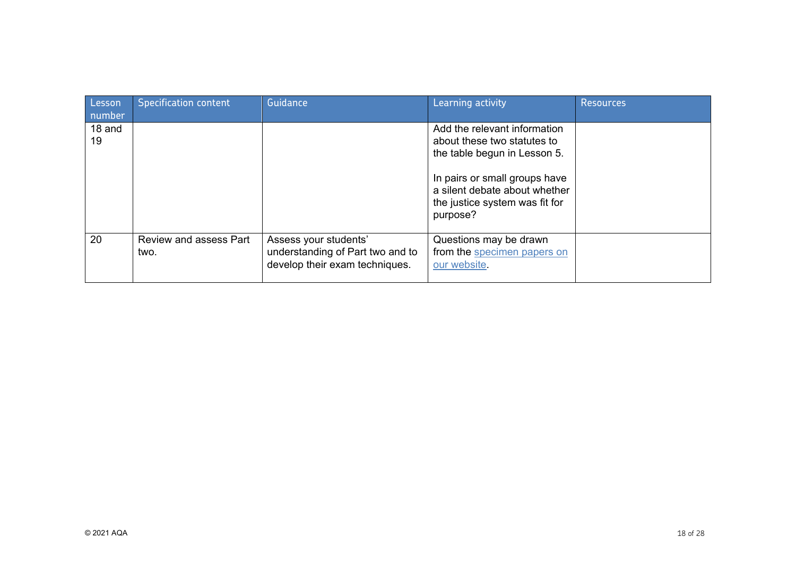| Lesson<br>number | <b>Specification content</b>          | Guidance                                                                                    | Learning activity                                                                                                                                             | <b>Resources</b> |
|------------------|---------------------------------------|---------------------------------------------------------------------------------------------|---------------------------------------------------------------------------------------------------------------------------------------------------------------|------------------|
| 18 and<br>19     |                                       |                                                                                             | Add the relevant information<br>about these two statutes to<br>the table begun in Lesson 5.<br>In pairs or small groups have<br>a silent debate about whether |                  |
|                  |                                       |                                                                                             | the justice system was fit for<br>purpose?                                                                                                                    |                  |
| 20               | <b>Review and assess Part</b><br>two. | Assess your students'<br>understanding of Part two and to<br>develop their exam techniques. | Questions may be drawn<br>from the specimen papers on<br>our website.                                                                                         |                  |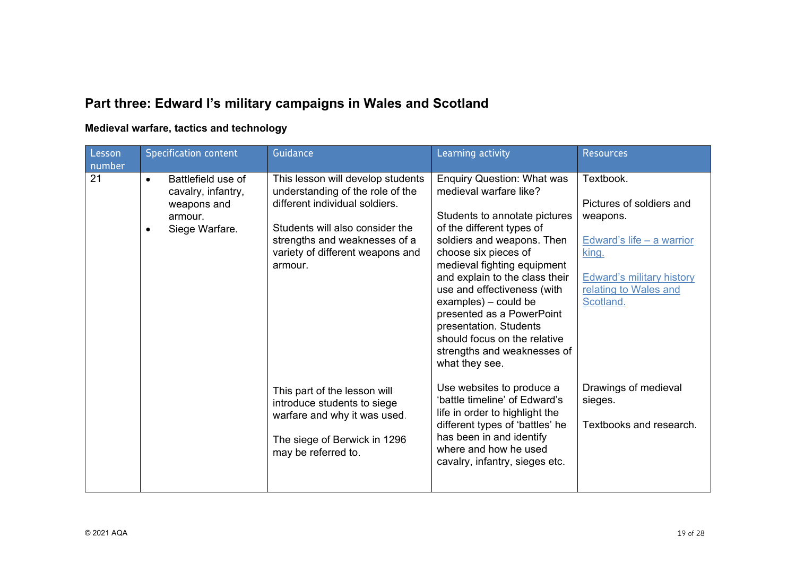# **Part three: Edward I's military campaigns in Wales and Scotland**

### **Medieval warfare, tactics and technology**

| Lesson<br>number | <b>Specification content</b>                                                                                                                                                                                                                                                                                                    | Guidance                                                                                                                                                                                                                                                                                                                                                                                                                                        | Learning activity                                                                                                                                                                                                      | <b>Resources</b>                                           |
|------------------|---------------------------------------------------------------------------------------------------------------------------------------------------------------------------------------------------------------------------------------------------------------------------------------------------------------------------------|-------------------------------------------------------------------------------------------------------------------------------------------------------------------------------------------------------------------------------------------------------------------------------------------------------------------------------------------------------------------------------------------------------------------------------------------------|------------------------------------------------------------------------------------------------------------------------------------------------------------------------------------------------------------------------|------------------------------------------------------------|
| 21               | Battlefield use of<br>This lesson will develop students<br>$\bullet$<br>understanding of the role of the<br>cavalry, infantry,<br>different individual soldiers.<br>weapons and<br>armour.<br>Students will also consider the<br>Siege Warfare.<br>strengths and weaknesses of a<br>variety of different weapons and<br>armour. | <b>Enquiry Question: What was</b><br>medieval warfare like?<br>Students to annotate pictures<br>of the different types of<br>soldiers and weapons. Then<br>choose six pieces of<br>medieval fighting equipment<br>and explain to the class their<br>use and effectiveness (with<br>examples) - could be<br>presented as a PowerPoint<br>presentation. Students<br>should focus on the relative<br>strengths and weaknesses of<br>what they see. | Textbook.<br>Pictures of soldiers and<br>weapons.<br>Edward's life $-$ a warrior<br>king.<br><b>Edward's military history</b><br>relating to Wales and<br>Scotland.                                                    |                                                            |
|                  |                                                                                                                                                                                                                                                                                                                                 | This part of the lesson will<br>introduce students to siege<br>warfare and why it was used.<br>The siege of Berwick in 1296<br>may be referred to.                                                                                                                                                                                                                                                                                              | Use websites to produce a<br>'battle timeline' of Edward's<br>life in order to highlight the<br>different types of 'battles' he<br>has been in and identify<br>where and how he used<br>cavalry, infantry, sieges etc. | Drawings of medieval<br>sieges.<br>Textbooks and research. |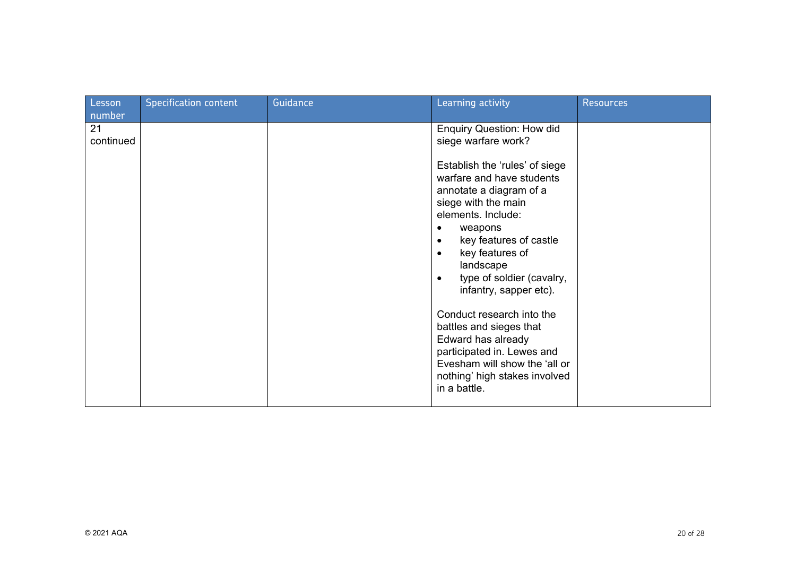| Lesson          | <b>Specification content</b> | Guidance | Learning activity                                                                                                                                                                                                                                                                                           | <b>Resources</b> |
|-----------------|------------------------------|----------|-------------------------------------------------------------------------------------------------------------------------------------------------------------------------------------------------------------------------------------------------------------------------------------------------------------|------------------|
| number          |                              |          |                                                                                                                                                                                                                                                                                                             |                  |
| 21<br>continued |                              |          | <b>Enquiry Question: How did</b><br>siege warfare work?                                                                                                                                                                                                                                                     |                  |
|                 |                              |          | Establish the 'rules' of siege<br>warfare and have students<br>annotate a diagram of a<br>siege with the main<br>elements. Include:<br>weapons<br>٠<br>key features of castle<br>$\bullet$<br>key features of<br>$\bullet$<br>landscape<br>type of soldier (cavalry,<br>$\bullet$<br>infantry, sapper etc). |                  |
|                 |                              |          | Conduct research into the<br>battles and sieges that<br>Edward has already<br>participated in. Lewes and<br>Evesham will show the 'all or<br>nothing' high stakes involved<br>in a battle.                                                                                                                  |                  |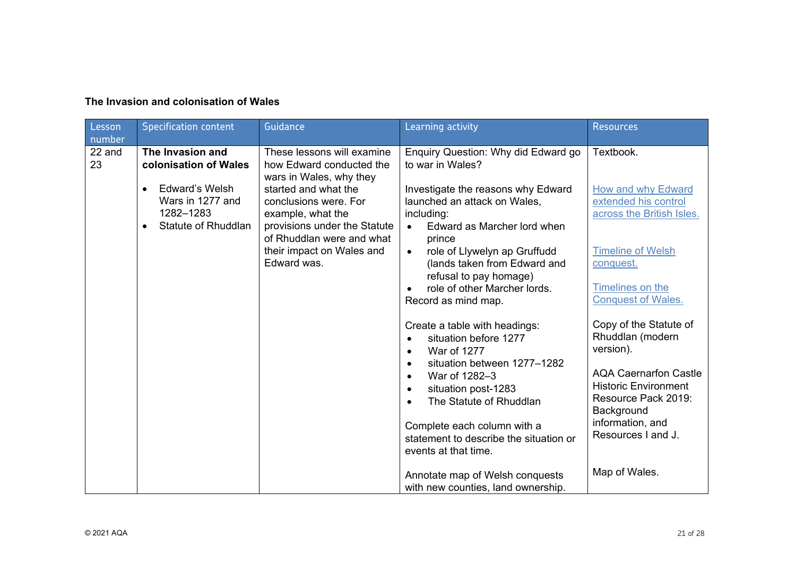|  | The Invasion and colonisation of Wales |  |
|--|----------------------------------------|--|
|  |                                        |  |

| <b>Lesson</b>          | <b>Specification content</b>                                                                                     | Guidance                                                                                                                                                | Learning activity                                                                                                                                                                                                                                                                                                                         | <b>Resources</b>                                                                                                                                                                                      |
|------------------------|------------------------------------------------------------------------------------------------------------------|---------------------------------------------------------------------------------------------------------------------------------------------------------|-------------------------------------------------------------------------------------------------------------------------------------------------------------------------------------------------------------------------------------------------------------------------------------------------------------------------------------------|-------------------------------------------------------------------------------------------------------------------------------------------------------------------------------------------------------|
| number<br>22 and<br>23 | The Invasion and<br>colonisation of Wales<br><b>Edward's Welsh</b><br>$\bullet$<br>Wars in 1277 and<br>1282-1283 | These lessons will examine<br>how Edward conducted the<br>wars in Wales, why they<br>started and what the<br>conclusions were. For<br>example, what the | Enquiry Question: Why did Edward go<br>to war in Wales?<br>Investigate the reasons why Edward<br>launched an attack on Wales,<br>including:                                                                                                                                                                                               | Textbook.<br>How and why Edward<br>extended his control<br>across the British Isles.                                                                                                                  |
|                        | Statute of Rhuddlan                                                                                              | provisions under the Statute<br>of Rhuddlan were and what<br>their impact on Wales and<br>Edward was.                                                   | Edward as Marcher lord when<br>$\bullet$<br>prince<br>role of Llywelyn ap Gruffudd<br>$\bullet$<br>(lands taken from Edward and<br>refusal to pay homage)<br>role of other Marcher lords.<br>Record as mind map.                                                                                                                          | <b>Timeline of Welsh</b><br>conquest.<br>Timelines on the<br><b>Conquest of Wales.</b>                                                                                                                |
|                        |                                                                                                                  |                                                                                                                                                         | Create a table with headings:<br>situation before 1277<br>War of 1277<br>$\bullet$<br>situation between 1277-1282<br>$\bullet$<br>War of 1282-3<br>$\bullet$<br>situation post-1283<br>$\bullet$<br>The Statute of Rhuddlan<br>$\bullet$<br>Complete each column with a<br>statement to describe the situation or<br>events at that time. | Copy of the Statute of<br>Rhuddlan (modern<br>version).<br><b>AQA Caernarfon Castle</b><br><b>Historic Environment</b><br>Resource Pack 2019:<br>Background<br>information, and<br>Resources I and J. |
|                        |                                                                                                                  |                                                                                                                                                         | Annotate map of Welsh conquests<br>with new counties, land ownership.                                                                                                                                                                                                                                                                     | Map of Wales.                                                                                                                                                                                         |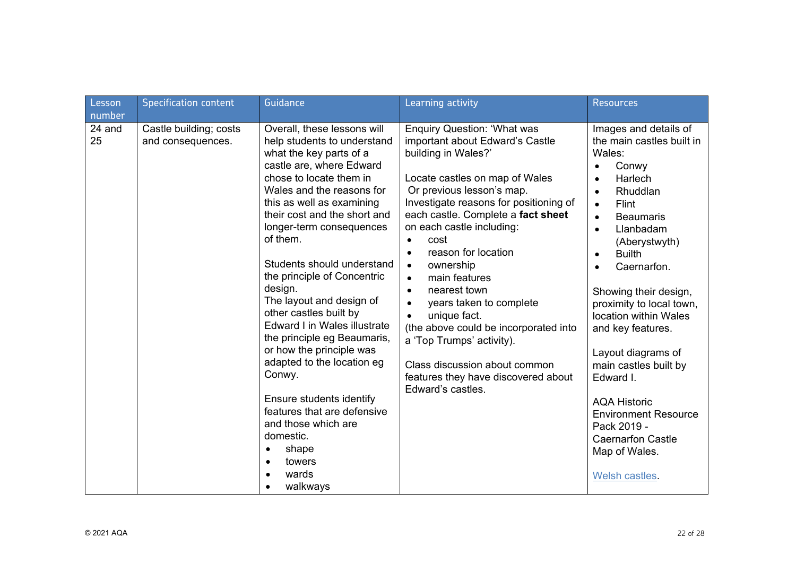| Lesson                 | <b>Specification content</b>                | Guidance                                                                                                                                                                                                                                                                                                                                                                                                                                                                                                                                                                                                                                                                               | Learning activity                                                                                                                                                                                                                                                                                                                                                                                                                                                                                                                                                                                                       | <b>Resources</b>                                                                                                                                                                                                                                                                                                                                                                                                                                                                                                                                                                     |
|------------------------|---------------------------------------------|----------------------------------------------------------------------------------------------------------------------------------------------------------------------------------------------------------------------------------------------------------------------------------------------------------------------------------------------------------------------------------------------------------------------------------------------------------------------------------------------------------------------------------------------------------------------------------------------------------------------------------------------------------------------------------------|-------------------------------------------------------------------------------------------------------------------------------------------------------------------------------------------------------------------------------------------------------------------------------------------------------------------------------------------------------------------------------------------------------------------------------------------------------------------------------------------------------------------------------------------------------------------------------------------------------------------------|--------------------------------------------------------------------------------------------------------------------------------------------------------------------------------------------------------------------------------------------------------------------------------------------------------------------------------------------------------------------------------------------------------------------------------------------------------------------------------------------------------------------------------------------------------------------------------------|
| number<br>24 and<br>25 | Castle building; costs<br>and consequences. | Overall, these lessons will<br>help students to understand<br>what the key parts of a<br>castle are, where Edward<br>chose to locate them in<br>Wales and the reasons for<br>this as well as examining<br>their cost and the short and<br>longer-term consequences<br>of them.<br>Students should understand<br>the principle of Concentric<br>design.<br>The layout and design of<br>other castles built by<br>Edward I in Wales illustrate<br>the principle eg Beaumaris,<br>or how the principle was<br>adapted to the location eg<br>Conwy.<br>Ensure students identify<br>features that are defensive<br>and those which are<br>domestic.<br>shape<br>towers<br>wards<br>walkways | <b>Enquiry Question: 'What was</b><br>important about Edward's Castle<br>building in Wales?'<br>Locate castles on map of Wales<br>Or previous lesson's map.<br>Investigate reasons for positioning of<br>each castle. Complete a fact sheet<br>on each castle including:<br>cost<br>reason for location<br>$\bullet$<br>ownership<br>$\bullet$<br>main features<br>$\bullet$<br>nearest town<br>$\bullet$<br>years taken to complete<br>unique fact.<br>(the above could be incorporated into<br>a 'Top Trumps' activity).<br>Class discussion about common<br>features they have discovered about<br>Edward's castles. | Images and details of<br>the main castles built in<br>Wales:<br>Conwy<br>$\bullet$<br>Harlech<br>$\bullet$<br>Rhuddlan<br>$\bullet$<br>Flint<br>$\bullet$<br><b>Beaumaris</b><br>$\bullet$<br>Llanbadam<br>(Aberystwyth)<br><b>Builth</b><br>$\bullet$<br>Caernarfon.<br>$\bullet$<br>Showing their design,<br>proximity to local town,<br>location within Wales<br>and key features.<br>Layout diagrams of<br>main castles built by<br>Edward I.<br><b>AQA Historic</b><br><b>Environment Resource</b><br>Pack 2019 -<br><b>Caernarfon Castle</b><br>Map of Wales.<br>Welsh castles |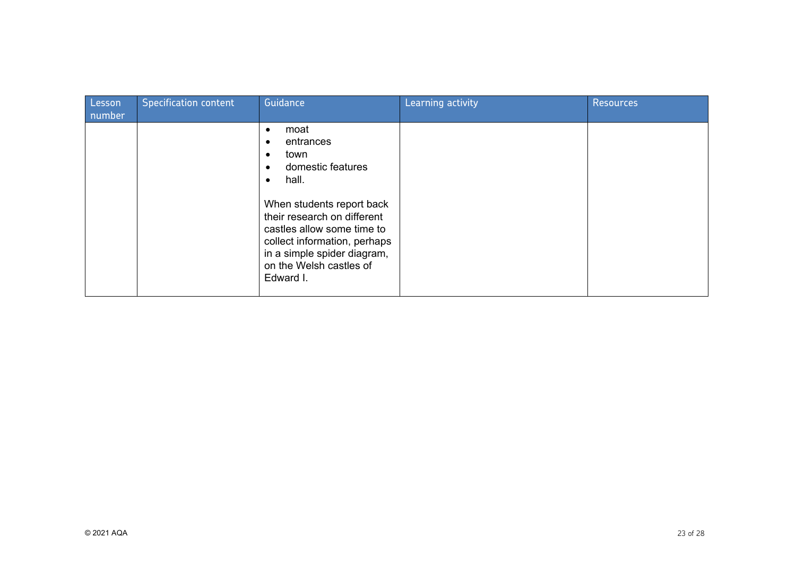| Lesson<br>number | <b>Specification content</b> | Guidance                                                                                                                                                                                                                                                                           | Learning activity | <b>Resources</b> |
|------------------|------------------------------|------------------------------------------------------------------------------------------------------------------------------------------------------------------------------------------------------------------------------------------------------------------------------------|-------------------|------------------|
|                  |                              | moat<br>$\bullet$<br>entrances<br>town<br>domestic features<br>hall.<br>$\bullet$<br>When students report back<br>their research on different<br>castles allow some time to<br>collect information, perhaps<br>in a simple spider diagram,<br>on the Welsh castles of<br>Edward I. |                   |                  |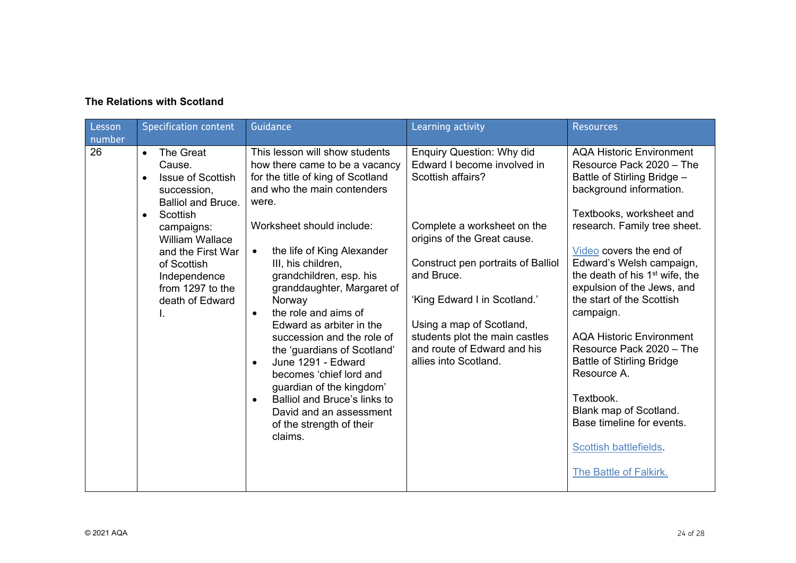## **The Relations with Scotland**

| Lesson<br>number | <b>Specification content</b>                                                                                                                                                                                                                                         | Guidance                                                                                                                                                                                                                                                                                                                                                                                                                                                                                                                                                                                                                                              | Learning activity                                                                                                                                                                                                                                                                                                                                            | <b>Resources</b>                                                                                                                                                                                                                                                                                                                                                                                                                                                                                                                                                                                         |
|------------------|----------------------------------------------------------------------------------------------------------------------------------------------------------------------------------------------------------------------------------------------------------------------|-------------------------------------------------------------------------------------------------------------------------------------------------------------------------------------------------------------------------------------------------------------------------------------------------------------------------------------------------------------------------------------------------------------------------------------------------------------------------------------------------------------------------------------------------------------------------------------------------------------------------------------------------------|--------------------------------------------------------------------------------------------------------------------------------------------------------------------------------------------------------------------------------------------------------------------------------------------------------------------------------------------------------------|----------------------------------------------------------------------------------------------------------------------------------------------------------------------------------------------------------------------------------------------------------------------------------------------------------------------------------------------------------------------------------------------------------------------------------------------------------------------------------------------------------------------------------------------------------------------------------------------------------|
| 26               | The Great<br>$\bullet$<br>Cause.<br><b>Issue of Scottish</b><br>succession,<br><b>Balliol and Bruce.</b><br>Scottish<br>$\bullet$<br>campaigns:<br><b>William Wallace</b><br>and the First War<br>of Scottish<br>Independence<br>from 1297 to the<br>death of Edward | This lesson will show students<br>how there came to be a vacancy<br>for the title of king of Scotland<br>and who the main contenders<br>were.<br>Worksheet should include:<br>the life of King Alexander<br>$\bullet$<br>III, his children,<br>grandchildren, esp. his<br>granddaughter, Margaret of<br>Norway<br>the role and aims of<br>$\bullet$<br>Edward as arbiter in the<br>succession and the role of<br>the 'guardians of Scotland'<br>June 1291 - Edward<br>$\bullet$<br>becomes 'chief lord and<br>guardian of the kingdom'<br>Balliol and Bruce's links to<br>$\bullet$<br>David and an assessment<br>of the strength of their<br>claims. | <b>Enquiry Question: Why did</b><br>Edward I become involved in<br>Scottish affairs?<br>Complete a worksheet on the<br>origins of the Great cause.<br>Construct pen portraits of Balliol<br>and Bruce.<br>'King Edward I in Scotland.'<br>Using a map of Scotland,<br>students plot the main castles<br>and route of Edward and his<br>allies into Scotland. | <b>AQA Historic Environment</b><br>Resource Pack 2020 - The<br>Battle of Stirling Bridge -<br>background information.<br>Textbooks, worksheet and<br>research. Family tree sheet.<br>Video covers the end of<br>Edward's Welsh campaign,<br>the death of his 1 <sup>st</sup> wife, the<br>expulsion of the Jews, and<br>the start of the Scottish<br>campaign.<br><b>AQA Historic Environment</b><br>Resource Pack 2020 - The<br><b>Battle of Stirling Bridge</b><br>Resource A.<br>Textbook.<br>Blank map of Scotland.<br>Base timeline for events.<br>Scottish battlefields.<br>The Battle of Falkirk. |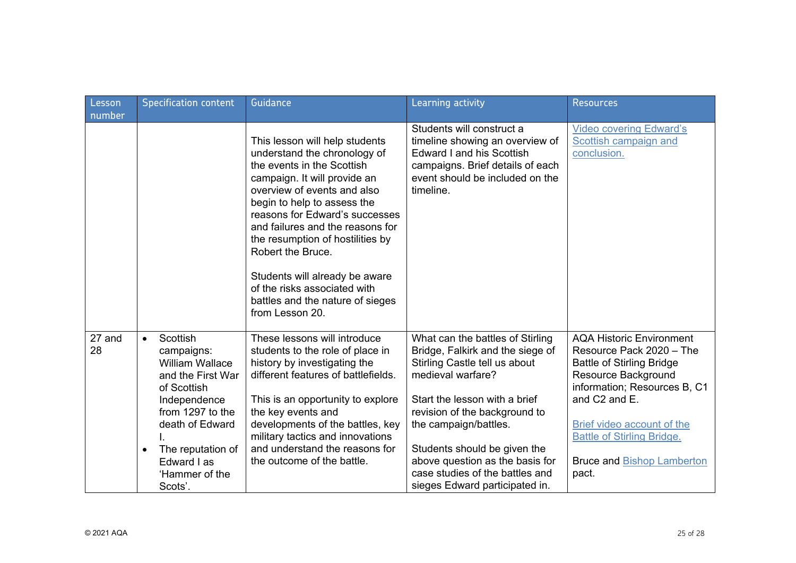| Lesson       | <b>Specification content</b>                                                                                                                                                                                                           | Guidance                                                                                                                                                                                                                                                                                                                                                                                                                                           | Learning activity                                                                                                                                                                                                                                                                                                                                             | <b>Resources</b>                                                                                                                                                                                                                                                                         |
|--------------|----------------------------------------------------------------------------------------------------------------------------------------------------------------------------------------------------------------------------------------|----------------------------------------------------------------------------------------------------------------------------------------------------------------------------------------------------------------------------------------------------------------------------------------------------------------------------------------------------------------------------------------------------------------------------------------------------|---------------------------------------------------------------------------------------------------------------------------------------------------------------------------------------------------------------------------------------------------------------------------------------------------------------------------------------------------------------|------------------------------------------------------------------------------------------------------------------------------------------------------------------------------------------------------------------------------------------------------------------------------------------|
| number       |                                                                                                                                                                                                                                        |                                                                                                                                                                                                                                                                                                                                                                                                                                                    |                                                                                                                                                                                                                                                                                                                                                               |                                                                                                                                                                                                                                                                                          |
|              |                                                                                                                                                                                                                                        | This lesson will help students<br>understand the chronology of<br>the events in the Scottish<br>campaign. It will provide an<br>overview of events and also<br>begin to help to assess the<br>reasons for Edward's successes<br>and failures and the reasons for<br>the resumption of hostilities by<br>Robert the Bruce.<br>Students will already be aware<br>of the risks associated with<br>battles and the nature of sieges<br>from Lesson 20. | Students will construct a<br>timeline showing an overview of<br><b>Edward I and his Scottish</b><br>campaigns. Brief details of each<br>event should be included on the<br>timeline.                                                                                                                                                                          | <b>Video covering Edward's</b><br>Scottish campaign and<br>conclusion.                                                                                                                                                                                                                   |
| 27 and<br>28 | Scottish<br>$\bullet$<br>campaigns:<br><b>William Wallace</b><br>and the First War<br>of Scottish<br>Independence<br>from 1297 to the<br>death of Edward<br>The reputation of<br>$\bullet$<br>Edward I as<br>'Hammer of the<br>Scots'. | These lessons will introduce<br>students to the role of place in<br>history by investigating the<br>different features of battlefields.<br>This is an opportunity to explore<br>the key events and<br>developments of the battles, key<br>military tactics and innovations<br>and understand the reasons for<br>the outcome of the battle.                                                                                                         | What can the battles of Stirling<br>Bridge, Falkirk and the siege of<br>Stirling Castle tell us about<br>medieval warfare?<br>Start the lesson with a brief<br>revision of the background to<br>the campaign/battles.<br>Students should be given the<br>above question as the basis for<br>case studies of the battles and<br>sieges Edward participated in. | <b>AQA Historic Environment</b><br>Resource Pack 2020 - The<br><b>Battle of Stirling Bridge</b><br>Resource Background<br>information; Resources B, C1<br>and C2 and E.<br>Brief video account of the<br><b>Battle of Stirling Bridge.</b><br><b>Bruce and Bishop Lamberton</b><br>pact. |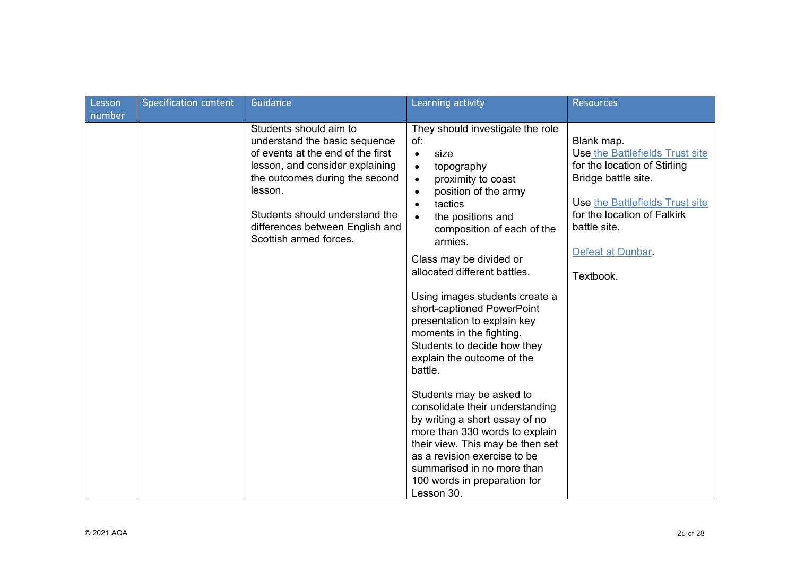|                  | <b>Specification content</b> | Guidance                                                                                                                                                                                                                                                                    | Learning activity                                                                                                                                                                                                                                                                                                                                                                                                                                                                                        | <b>Resources</b>                                                                                                                                                                                                        |
|------------------|------------------------------|-----------------------------------------------------------------------------------------------------------------------------------------------------------------------------------------------------------------------------------------------------------------------------|----------------------------------------------------------------------------------------------------------------------------------------------------------------------------------------------------------------------------------------------------------------------------------------------------------------------------------------------------------------------------------------------------------------------------------------------------------------------------------------------------------|-------------------------------------------------------------------------------------------------------------------------------------------------------------------------------------------------------------------------|
| Lesson<br>number |                              | Students should aim to<br>understand the basic sequence<br>of events at the end of the first<br>lesson, and consider explaining<br>the outcomes during the second<br>lesson.<br>Students should understand the<br>differences between English and<br>Scottish armed forces. | They should investigate the role<br>of:<br>size<br>$\bullet$<br>topography<br>$\bullet$<br>proximity to coast<br>$\bullet$<br>position of the army<br>$\bullet$<br>tactics<br>$\bullet$<br>the positions and<br>composition of each of the<br>armies.<br>Class may be divided or<br>allocated different battles.<br>Using images students create a<br>short-captioned PowerPoint<br>presentation to explain key<br>moments in the fighting.<br>Students to decide how they<br>explain the outcome of the | Blank map.<br>Use the Battlefields Trust site<br>for the location of Stirling<br>Bridge battle site.<br>Use the Battlefields Trust site<br>for the location of Falkirk<br>battle site.<br>Defeat at Dunbar<br>Textbook. |
|                  |                              |                                                                                                                                                                                                                                                                             | battle.<br>Students may be asked to<br>consolidate their understanding<br>by writing a short essay of no<br>more than 330 words to explain<br>their view. This may be then set<br>as a revision exercise to be<br>summarised in no more than<br>100 words in preparation for<br>Lesson 30.                                                                                                                                                                                                               |                                                                                                                                                                                                                         |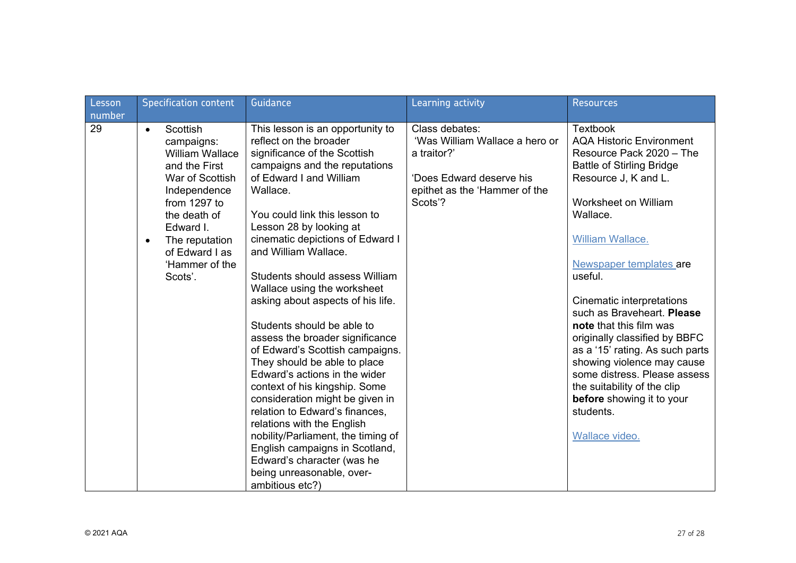| Lesson | <b>Specification content</b>                                                                                                                                                                                                                 | Guidance                                                                                                                                                                                                                                                                                                                                                                                                                                                                                                                                                                                                                                                                                                                                                                                                                                                        | Learning activity                                                                                                                       | <b>Resources</b>                                                                                                                                                                                                                                                                                                                                                                                                                                                                                                                                            |
|--------|----------------------------------------------------------------------------------------------------------------------------------------------------------------------------------------------------------------------------------------------|-----------------------------------------------------------------------------------------------------------------------------------------------------------------------------------------------------------------------------------------------------------------------------------------------------------------------------------------------------------------------------------------------------------------------------------------------------------------------------------------------------------------------------------------------------------------------------------------------------------------------------------------------------------------------------------------------------------------------------------------------------------------------------------------------------------------------------------------------------------------|-----------------------------------------------------------------------------------------------------------------------------------------|-------------------------------------------------------------------------------------------------------------------------------------------------------------------------------------------------------------------------------------------------------------------------------------------------------------------------------------------------------------------------------------------------------------------------------------------------------------------------------------------------------------------------------------------------------------|
| number |                                                                                                                                                                                                                                              |                                                                                                                                                                                                                                                                                                                                                                                                                                                                                                                                                                                                                                                                                                                                                                                                                                                                 |                                                                                                                                         |                                                                                                                                                                                                                                                                                                                                                                                                                                                                                                                                                             |
| 29     | Scottish<br>$\bullet$<br>campaigns:<br><b>William Wallace</b><br>and the First<br>War of Scottish<br>Independence<br>from 1297 to<br>the death of<br>Edward I.<br>The reputation<br>$\bullet$<br>of Edward I as<br>'Hammer of the<br>Scots'. | This lesson is an opportunity to<br>reflect on the broader<br>significance of the Scottish<br>campaigns and the reputations<br>of Edward I and William<br>Wallace.<br>You could link this lesson to<br>Lesson 28 by looking at<br>cinematic depictions of Edward I<br>and William Wallace.<br>Students should assess William<br>Wallace using the worksheet<br>asking about aspects of his life.<br>Students should be able to<br>assess the broader significance<br>of Edward's Scottish campaigns.<br>They should be able to place<br>Edward's actions in the wider<br>context of his kingship. Some<br>consideration might be given in<br>relation to Edward's finances,<br>relations with the English<br>nobility/Parliament, the timing of<br>English campaigns in Scotland,<br>Edward's character (was he<br>being unreasonable, over-<br>ambitious etc?) | Class debates:<br>'Was William Wallace a hero or<br>a traitor?'<br>'Does Edward deserve his<br>epithet as the 'Hammer of the<br>Scots'? | <b>Textbook</b><br><b>AQA Historic Environment</b><br>Resource Pack 2020 - The<br><b>Battle of Stirling Bridge</b><br>Resource J, K and L.<br>Worksheet on William<br>Wallace.<br>William Wallace.<br>Newspaper templates are<br>useful.<br>Cinematic interpretations<br>such as Braveheart. Please<br>note that this film was<br>originally classified by BBFC<br>as a '15' rating. As such parts<br>showing violence may cause<br>some distress. Please assess<br>the suitability of the clip<br>before showing it to your<br>students.<br>Wallace video. |